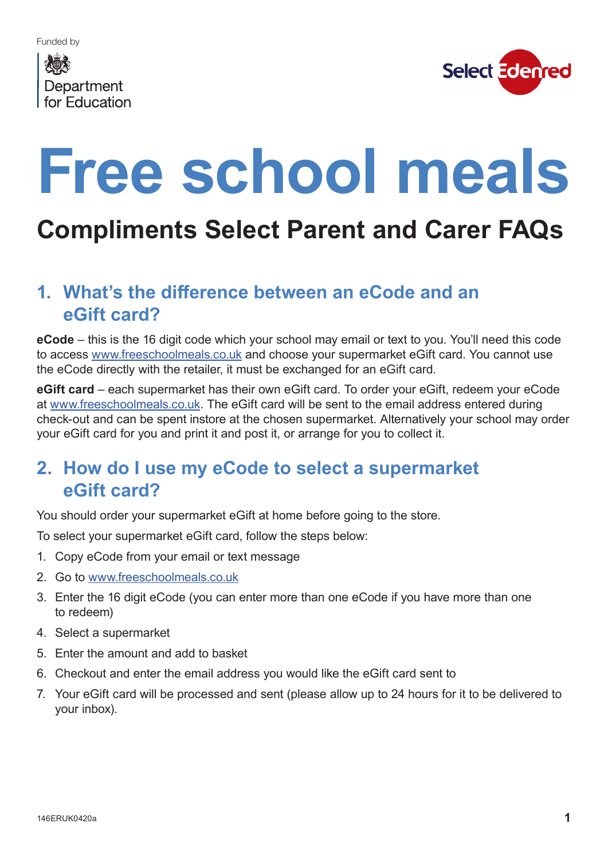# Department for Education



# **Free school meals**

# **Compliments Select Parent and Carer FAQs**

### **1. What's the difference between an eCode and an eGift card?**

**eCode** – this is the 16 digit code which your school may email or text to you. You'll need this code to access www.freeschoolmeals.co.uk and choose your supermarket eGift card. You cannot use the eCode directly with the retailer, it must be exchanged for an eGift card.

**eGift card** – each supermarket has their own eGift card. To order your eGift, redeem your eCode at www.freeschoolmeals.co.uk. The eGift card will be sent to the email address entered during check-out and can be spent instore at the chosen supermarket. Alternatively your school may order your eGift card for you and print it and post it, or arrange for you to collect it.

#### **2. How do I use my eCode to select a supermarket eGift card?**

You should order your supermarket eGift at home before going to the store.

To select your supermarket eGift card, follow the steps below:

- 1. Copy eCode from your email or text message
- 2. Go to www.freeschoolmeals.co.uk
- 3. Enter the 16 digit eCode (you can enter more than one eCode if you have more than one to redeem)
- 4. Select a supermarket
- 5. Enter the amount and add to basket
- 6. Checkout and enter the email address you would like the eGift card sent to
- 7. Your eGift card will be processed and sent (please allow up to 24 hours for it to be delivered to your inbox).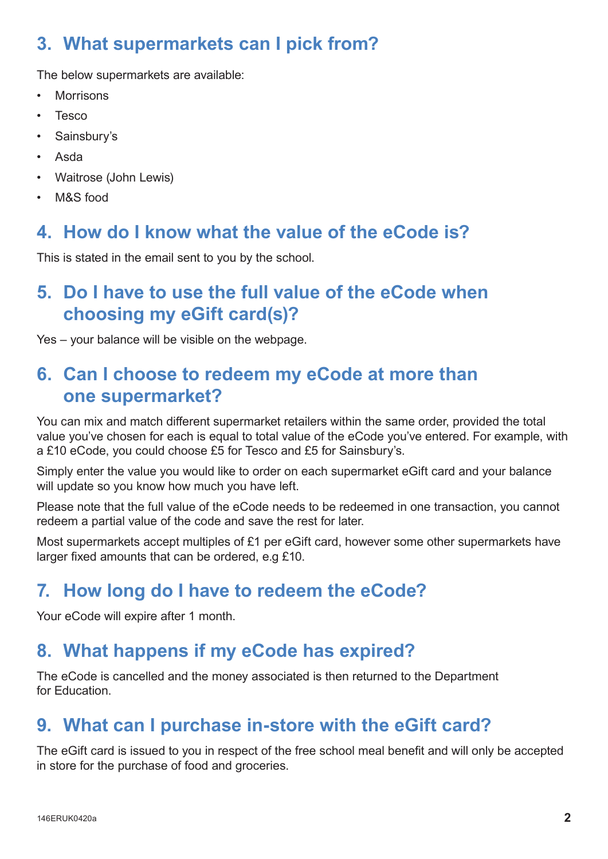# **3. What supermarkets can I pick from?**

The below supermarkets are available:

- **Morrisons**
- **Tesco**
- Sainsbury's
- Asda
- Waitrose (John Lewis)
- M&S food

#### **4. How do I know what the value of the eCode is?**

This is stated in the email sent to you by the school.

# **5. Do I have to use the full value of the eCode when choosing my eGift card(s)?**

Yes – your balance will be visible on the webpage.

# **6. Can I choose to redeem my eCode at more than one supermarket?**

You can mix and match different supermarket retailers within the same order, provided the total value you've chosen for each is equal to total value of the eCode you've entered. For example, with a £10 eCode, you could choose £5 for Tesco and £5 for Sainsbury's.

Simply enter the value you would like to order on each supermarket eGift card and your balance will update so you know how much you have left.

Please note that the full value of the eCode needs to be redeemed in one transaction, you cannot redeem a partial value of the code and save the rest for later.

Most supermarkets accept multiples of £1 per eGift card, however some other supermarkets have larger fixed amounts that can be ordered, e.g £10.

# **7. How long do I have to redeem the eCode?**

Your eCode will expire after 1 month.

#### **8. What happens if my eCode has expired?**

The eCode is cancelled and the money associated is then returned to the Department for Education.

# **9. What can I purchase in-store with the eGift card?**

The eGift card is issued to you in respect of the free school meal benefit and will only be accepted in store for the purchase of food and groceries.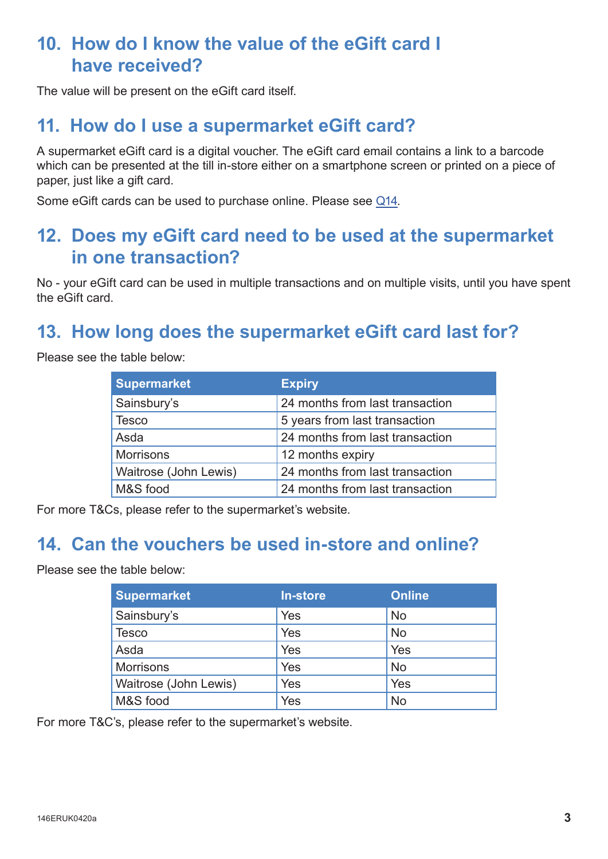#### **10. How do I know the value of the eGift card I have received?**

The value will be present on the eGift card itself.

#### **11. How do I use a supermarket eGift card?**

A supermarket eGift card is a digital voucher. The eGift card email contains a link to a barcode which can be presented at the till in-store either on a smartphone screen or printed on a piece of paper, just like a gift card.

Some eGift cards can be used to purchase online. Please see Q14.

#### **12. Does my eGift card need to be used at the supermarket in one transaction?**

No - your eGift card can be used in multiple transactions and on multiple visits, until you have spent the eGift card.

# **13. How long does the supermarket eGift card last for?**

Please see the table below:

| <b>Supermarket</b>    | <b>Expiry</b>                   |  |
|-----------------------|---------------------------------|--|
| Sainsbury's           | 24 months from last transaction |  |
| <b>Tesco</b>          | 5 years from last transaction   |  |
| Asda                  | 24 months from last transaction |  |
| <b>Morrisons</b>      | 12 months expiry                |  |
| Waitrose (John Lewis) | 24 months from last transaction |  |
| M&S food              | 24 months from last transaction |  |

For more T&Cs, please refer to the supermarket's website.

#### **14. Can the vouchers be used in-store and online?**

Please see the table below:

| <b>Supermarket</b>    | <b>In-store</b> | <b>Online</b> |
|-----------------------|-----------------|---------------|
| Sainsbury's           | Yes             | No            |
| Tesco                 | Yes             | No            |
| Asda                  | Yes             | Yes           |
| <b>Morrisons</b>      | Yes             | <b>No</b>     |
| Waitrose (John Lewis) | Yes             | Yes           |
| M&S food              | Yes             | No            |

For more T&C's, please refer to the supermarket's website.